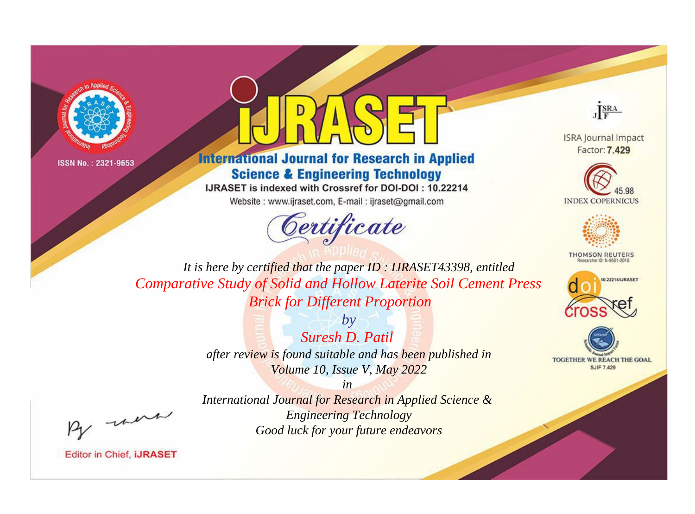



**International Journal for Research in Applied Science & Engineering Technology** 

IJRASET is indexed with Crossref for DOI-DOI: 10.22214

Website: www.ijraset.com, E-mail: ijraset@gmail.com



JERA

**ISRA Journal Impact** Factor: 7.429





**THOMSON REUTERS** 



TOGETHER WE REACH THE GOAL **SJIF 7.429** 

It is here by certified that the paper ID: IJRASET43398, entitled **Comparative Study of Solid and Hollow Laterite Soil Cement Press Brick for Different Proportion** 

> $b\nu$ Suresh D. Patil after review is found suitable and has been published in Volume 10, Issue V, May 2022

were

International Journal for Research in Applied Science & **Engineering Technology** Good luck for your future endeavors

 $in$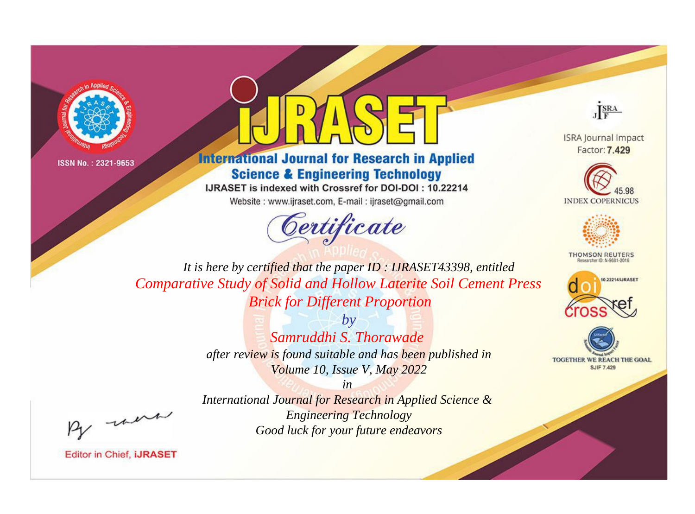



**International Journal for Research in Applied Science & Engineering Technology** 

IJRASET is indexed with Crossref for DOI-DOI: 10.22214

Website: www.ijraset.com, E-mail: ijraset@gmail.com





**ISRA Journal Impact** Factor: 7.429





**THOMSON REUTERS** 



TOGETHER WE REACH THE GOAL **SJIF 7.429** 

*It is here by certified that the paper ID : IJRASET43398, entitled Comparative Study of Solid and Hollow Laterite Soil Cement Press Brick for Different Proportion*

> *by Samruddhi S. Thorawade after review is found suitable and has been published in Volume 10, Issue V, May 2022*

, un

*International Journal for Research in Applied Science & Engineering Technology Good luck for your future endeavors*

*in*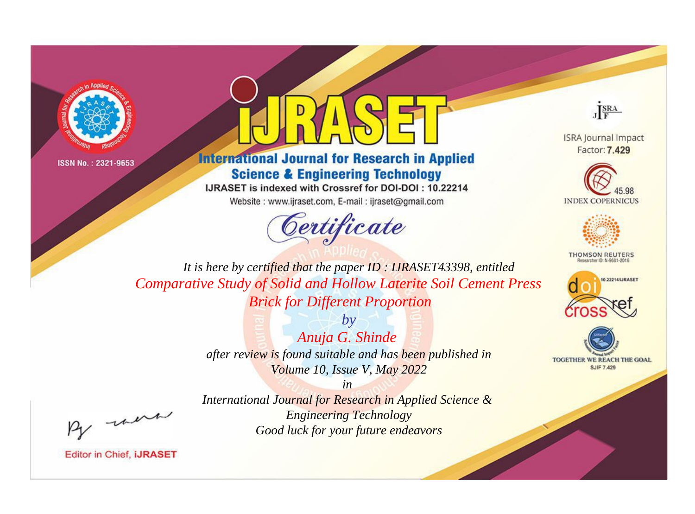



**International Journal for Research in Applied Science & Engineering Technology** 

IJRASET is indexed with Crossref for DOI-DOI: 10.22214

Website: www.ijraset.com, E-mail: ijraset@gmail.com





**ISRA Journal Impact** Factor: 7.429





**THOMSON REUTERS** 



TOGETHER WE REACH THE GOAL **SJIF 7.429** 

*It is here by certified that the paper ID : IJRASET43398, entitled Comparative Study of Solid and Hollow Laterite Soil Cement Press Brick for Different Proportion*

> *by Anuja G. Shinde after review is found suitable and has been published in Volume 10, Issue V, May 2022*

, were

*International Journal for Research in Applied Science & Engineering Technology Good luck for your future endeavors*

*in*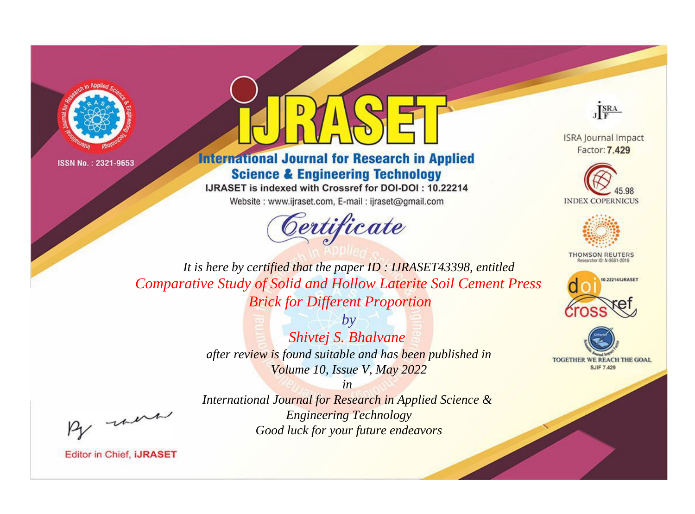



**International Journal for Research in Applied Science & Engineering Technology** 

IJRASET is indexed with Crossref for DOI-DOI: 10.22214

Website: www.ijraset.com, E-mail: ijraset@gmail.com





**ISRA Journal Impact** Factor: 7.429





**THOMSON REUTERS** 



TOGETHER WE REACH THE GOAL **SJIF 7.429** 

*It is here by certified that the paper ID : IJRASET43398, entitled Comparative Study of Solid and Hollow Laterite Soil Cement Press Brick for Different Proportion*

> *by Shivtej S. Bhalvane after review is found suitable and has been published in Volume 10, Issue V, May 2022*

, were

*International Journal for Research in Applied Science & Engineering Technology Good luck for your future endeavors*

*in*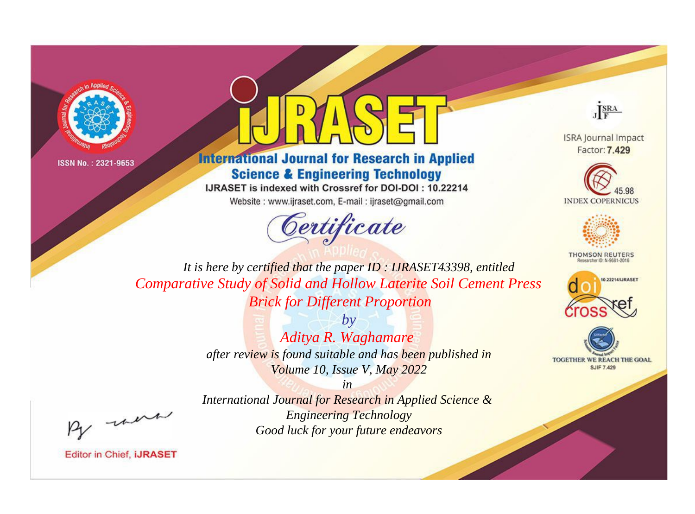



**International Journal for Research in Applied Science & Engineering Technology** 

IJRASET is indexed with Crossref for DOI-DOI: 10.22214

Website: www.ijraset.com, E-mail: ijraset@gmail.com





**ISRA Journal Impact** Factor: 7.429





**THOMSON REUTERS** 



TOGETHER WE REACH THE GOAL **SJIF 7.429** 

*It is here by certified that the paper ID : IJRASET43398, entitled Comparative Study of Solid and Hollow Laterite Soil Cement Press Brick for Different Proportion*

> *by Aditya R. Waghamare after review is found suitable and has been published in Volume 10, Issue V, May 2022*

*in International Journal for Research in Applied Science & Engineering Technology Good luck for your future endeavors*

, un